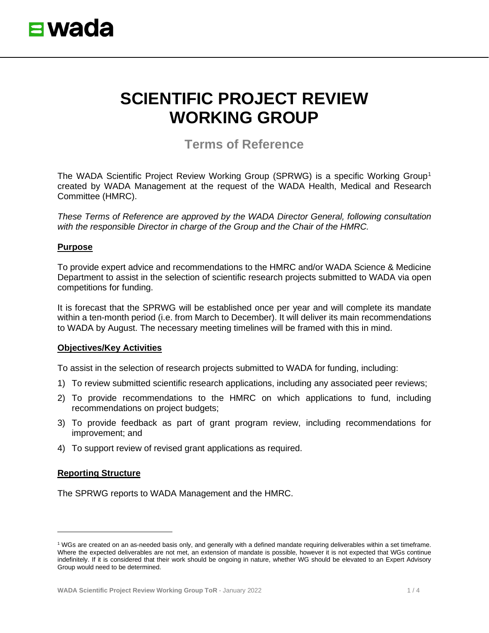

# **SCIENTIFIC PROJECT REVIEW WORKING GROUP**

**Terms of Reference**

The WADA Scientific Project Review Working Group (SPRWG) is a specific Working Group<sup>[1](#page-0-0)</sup> created by WADA Management at the request of the WADA Health, Medical and Research Committee (HMRC).

*These Terms of Reference are approved by the WADA Director General, following consultation with the responsible Director in charge of the Group and the Chair of the HMRC.*

## **Purpose**

To provide expert advice and recommendations to the HMRC and/or WADA Science & Medicine Department to assist in the selection of scientific research projects submitted to WADA via open competitions for funding.

It is forecast that the SPRWG will be established once per year and will complete its mandate within a ten-month period (i.e. from March to December). It will deliver its main recommendations to WADA by August. The necessary meeting timelines will be framed with this in mind.

#### **Objectives/Key Activities**

To assist in the selection of research projects submitted to WADA for funding, including:

- 1) To review submitted scientific research applications, including any associated peer reviews;
- 2) To provide recommendations to the HMRC on which applications to fund, including recommendations on project budgets;
- 3) To provide feedback as part of grant program review, including recommendations for improvement; and
- 4) To support review of revised grant applications as required.

## **Reporting Structure**

The SPRWG reports to WADA Management and the HMRC.

<span id="page-0-0"></span><sup>1</sup> WGs are created on an as-needed basis only, and generally with a defined mandate requiring deliverables within a set timeframe. Where the expected deliverables are not met, an extension of mandate is possible, however it is not expected that WGs continue indefinitely. If it is considered that their work should be ongoing in nature, whether WG should be elevated to an Expert Advisory Group would need to be determined.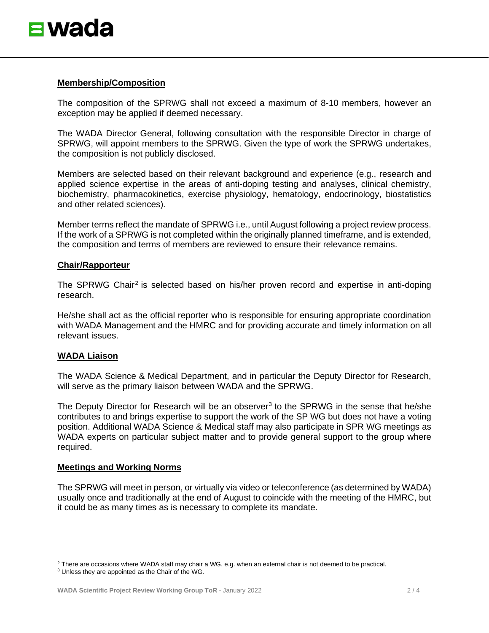

#### **Membership/Composition**

The composition of the SPRWG shall not exceed a maximum of 8-10 members, however an exception may be applied if deemed necessary.

The WADA Director General, following consultation with the responsible Director in charge of SPRWG, will appoint members to the SPRWG. Given the type of work the SPRWG undertakes, the composition is not publicly disclosed.

Members are selected based on their relevant background and experience (e.g., research and applied science expertise in the areas of anti-doping testing and analyses, clinical chemistry, biochemistry, pharmacokinetics, exercise physiology, hematology, endocrinology, biostatistics and other related sciences).

Member terms reflect the mandate of SPRWG i.e., until August following a project review process. If the work of a SPRWG is not completed within the originally planned timeframe, and is extended, the composition and terms of members are reviewed to ensure their relevance remains.

#### **Chair/Rapporteur**

The SPRWG Chair<sup>[2](#page-1-0)</sup> is selected based on his/her proven record and expertise in anti-doping research.

He/she shall act as the official reporter who is responsible for ensuring appropriate coordination with WADA Management and the HMRC and for providing accurate and timely information on all relevant issues.

## **WADA Liaison**

The WADA Science & Medical Department, and in particular the Deputy Director for Research, will serve as the primary liaison between WADA and the SPRWG.

The Deputy Director for Research will be an observer<sup>[3](#page-1-1)</sup> to the SPRWG in the sense that he/she contributes to and brings expertise to support the work of the SP WG but does not have a voting position. Additional WADA Science & Medical staff may also participate in SPR WG meetings as WADA experts on particular subject matter and to provide general support to the group where required.

## **Meetings and Working Norms**

The SPRWG will meet in person, or virtually via video or teleconference (as determined by WADA) usually once and traditionally at the end of August to coincide with the meeting of the HMRC, but it could be as many times as is necessary to complete its mandate.

<span id="page-1-0"></span> $2$  There are occasions where WADA staff may chair a WG, e.g. when an external chair is not deemed to be practical.

<span id="page-1-1"></span><sup>&</sup>lt;sup>3</sup> Unless they are appointed as the Chair of the WG.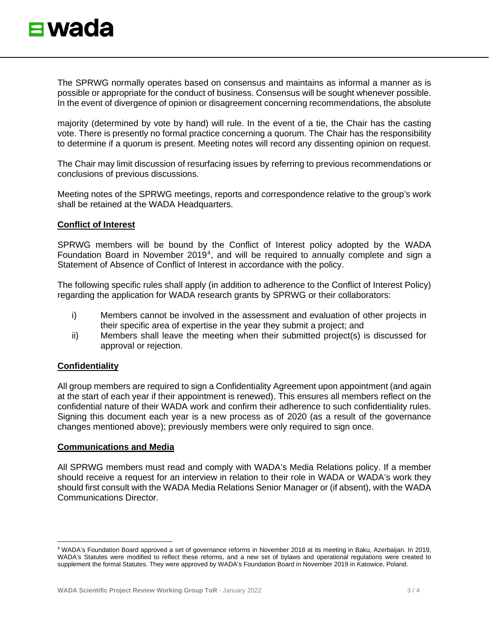The SPRWG normally operates based on consensus and maintains as informal a manner as is possible or appropriate for the conduct of business. Consensus will be sought whenever possible. In the event of divergence of opinion or disagreement concerning recommendations, the absolute

majority (determined by vote by hand) will rule. In the event of a tie, the Chair has the casting vote. There is presently no formal practice concerning a quorum. The Chair has the responsibility to determine if a quorum is present. Meeting notes will record any dissenting opinion on request.

The Chair may limit discussion of resurfacing issues by referring to previous recommendations or conclusions of previous discussions.

Meeting notes of the SPRWG meetings, reports and correspondence relative to the group's work shall be retained at the WADA Headquarters.

## **Conflict of Interest**

SPRWG members will be bound by the Conflict of Interest policy adopted by the WADA Foundation Board in November 2019[4](#page-2-0), and will be required to annually complete and sign a Statement of Absence of Conflict of Interest in accordance with the policy.

The following specific rules shall apply (in addition to adherence to the Conflict of Interest Policy) regarding the application for WADA research grants by SPRWG or their collaborators:

- i) Members cannot be involved in the assessment and evaluation of other projects in their specific area of expertise in the year they submit a project; and
- ii) Members shall leave the meeting when their submitted project(s) is discussed for approval or rejection.

# **Confidentiality**

All group members are required to sign a Confidentiality Agreement upon appointment (and again at the start of each year if their appointment is renewed). This ensures all members reflect on the confidential nature of their WADA work and confirm their adherence to such confidentiality rules. Signing this document each year is a new process as of 2020 (as a result of the governance changes mentioned above); previously members were only required to sign once.

## **Communications and Media**

All SPRWG members must read and comply with WADA's Media Relations policy. If a member should receive a request for an interview in relation to their role in WADA or WADA's work they should first consult with the WADA Media Relations Senior Manager or (if absent), with the WADA Communications Director.

<span id="page-2-0"></span><sup>4</sup> WADA's Foundation Board approved a set of governance reforms in November 2018 at its meeting in Baku, Azerbaijan. In 2019, WADA's Statutes were modified to reflect these reforms, and a new set of bylaws and operational regulations were created to supplement the formal Statutes. They were approved by WADA's Foundation Board in November 2019 in Katowice, Poland.